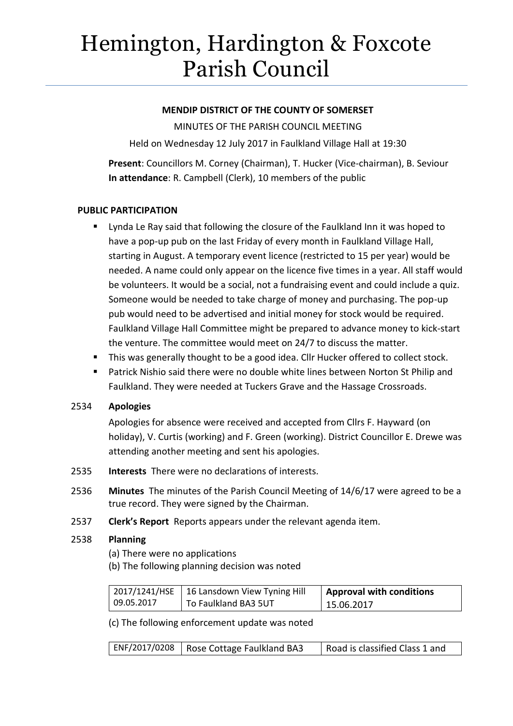# Hemington, Hardington & Foxcote Parish Council

# **MENDIP DISTRICT OF THE COUNTY OF SOMERSET**

MINUTES OF THE PARISH COUNCIL MEETING

Held on Wednesday 12 July 2017 in Faulkland Village Hall at 19:30

**Present**: Councillors M. Corney (Chairman), T. Hucker (Vice-chairman), B. Seviour **In attendance**: R. Campbell (Clerk), 10 members of the public

# **PUBLIC PARTICIPATION**

- Lynda Le Ray said that following the closure of the Faulkland Inn it was hoped to have a pop-up pub on the last Friday of every month in Faulkland Village Hall, starting in August. A temporary event licence (restricted to 15 per year) would be needed. A name could only appear on the licence five times in a year. All staff would be volunteers. It would be a social, not a fundraising event and could include a quiz. Someone would be needed to take charge of money and purchasing. The pop-up pub would need to be advertised and initial money for stock would be required. Faulkland Village Hall Committee might be prepared to advance money to kick-start the venture. The committee would meet on 24/7 to discuss the matter.
- This was generally thought to be a good idea. Cllr Hucker offered to collect stock.
- **Patrick Nishio said there were no double white lines between Norton St Philip and** Faulkland. They were needed at Tuckers Grave and the Hassage Crossroads.

# 2534 **Apologies**

Apologies for absence were received and accepted from Cllrs F. Hayward (on holiday), V. Curtis (working) and F. Green (working). District Councillor E. Drewe was attending another meeting and sent his apologies.

- 2535 **Interests** There were no declarations of interests.
- 2536 **Minutes** The minutes of the Parish Council Meeting of 14/6/17 were agreed to be a true record. They were signed by the Chairman.
- 2537 **Clerk's Report** Reports appears under the relevant agenda item.

# 2538 **Planning**

(a) There were no applications

(b) The following planning decision was noted

|            | 2017/1241/HSE   16 Lansdown View Tyning Hill | <b>Approval with conditions</b> |
|------------|----------------------------------------------|---------------------------------|
| 09.05.2017 | To Faulkland BA3 5UT                         | 15.06.2017                      |

(c) The following enforcement update was noted

|  | ENF/2017/0208   Rose Cottage Faulkland BA3 | Road is classified Class 1 and |
|--|--------------------------------------------|--------------------------------|
|--|--------------------------------------------|--------------------------------|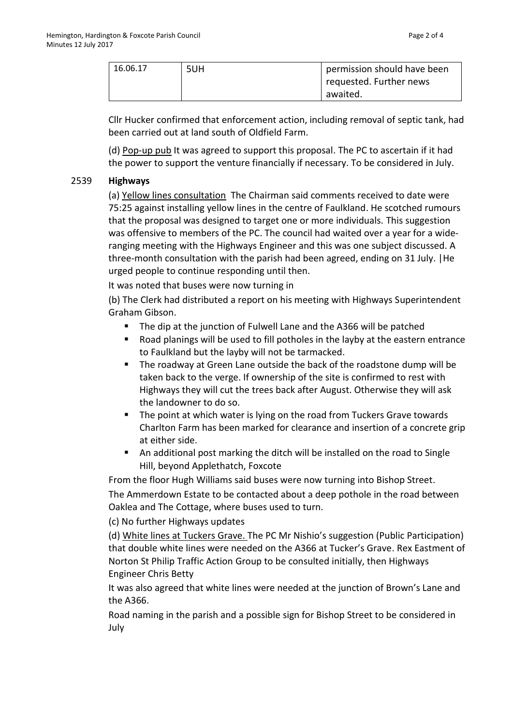| 16.06.17 | 5UH | permission should have been |
|----------|-----|-----------------------------|
|          |     | requested. Further news     |
|          |     | awaited.                    |

Cllr Hucker confirmed that enforcement action, including removal of septic tank, had been carried out at land south of Oldfield Farm.

(d) Pop-up pub It was agreed to support this proposal. The PC to ascertain if it had the power to support the venture financially if necessary. To be considered in July.

#### 2539 **Highways**

(a) Yellow lines consultation The Chairman said comments received to date were 75:25 against installing yellow lines in the centre of Faulkland. He scotched rumours that the proposal was designed to target one or more individuals. This suggestion was offensive to members of the PC. The council had waited over a year for a wideranging meeting with the Highways Engineer and this was one subject discussed. A three-month consultation with the parish had been agreed, ending on 31 July. |He urged people to continue responding until then.

It was noted that buses were now turning in

(b) The Clerk had distributed a report on his meeting with Highways Superintendent Graham Gibson.

- The dip at the junction of Fulwell Lane and the A366 will be patched
- Road planings will be used to fill potholes in the layby at the eastern entrance to Faulkland but the layby will not be tarmacked.
- The roadway at Green Lane outside the back of the roadstone dump will be taken back to the verge. If ownership of the site is confirmed to rest with Highways they will cut the trees back after August. Otherwise they will ask the landowner to do so.
- The point at which water is lying on the road from Tuckers Grave towards Charlton Farm has been marked for clearance and insertion of a concrete grip at either side.
- An additional post marking the ditch will be installed on the road to Single Hill, beyond Applethatch, Foxcote

From the floor Hugh Williams said buses were now turning into Bishop Street. The Ammerdown Estate to be contacted about a deep pothole in the road between Oaklea and The Cottage, where buses used to turn.

(c) No further Highways updates

(d) White lines at Tuckers Grave. The PC Mr Nishio's suggestion (Public Participation) that double white lines were needed on the A366 at Tucker's Grave. Rex Eastment of Norton St Philip Traffic Action Group to be consulted initially, then Highways Engineer Chris Betty

It was also agreed that white lines were needed at the junction of Brown's Lane and the A366.

Road naming in the parish and a possible sign for Bishop Street to be considered in July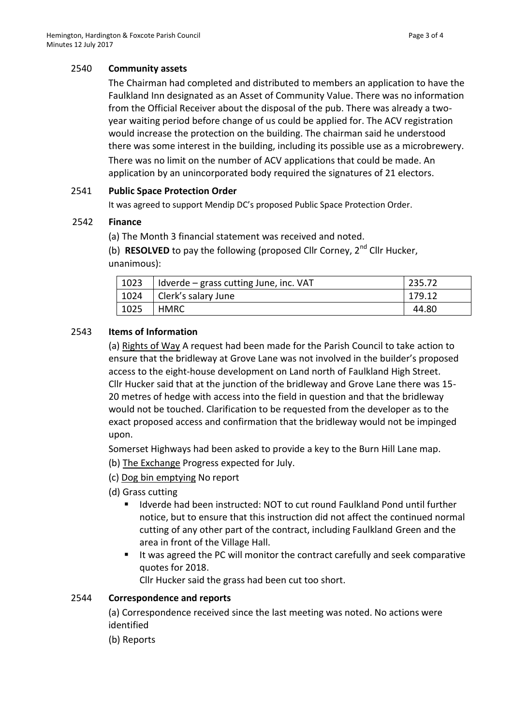# 2540 **Community assets**

The Chairman had completed and distributed to members an application to have the Faulkland Inn designated as an Asset of Community Value. There was no information from the Official Receiver about the disposal of the pub. There was already a twoyear waiting period before change of us could be applied for. The ACV registration would increase the protection on the building. The chairman said he understood there was some interest in the building, including its possible use as a microbrewery. There was no limit on the number of ACV applications that could be made. An application by an unincorporated body required the signatures of 21 electors.

#### 2541 **Public Space Protection Order**

It was agreed to support Mendip DC's proposed Public Space Protection Order.

#### 2542 **Finance**

(a) The Month 3 financial statement was received and noted.

(b) **RESOLVED** to pay the following (proposed Cllr Corney, 2<sup>nd</sup> Cllr Hucker, unanimous):

| 1023 | Idverde – grass cutting June, inc. VAT | 235.72 |
|------|----------------------------------------|--------|
| 1024 | Clerk's salary June                    | 179.12 |
| 1025 | HMRC                                   | 44.80  |

# 2543 **Items of Information**

(a) Rights of Way A request had been made for the Parish Council to take action to ensure that the bridleway at Grove Lane was not involved in the builder's proposed access to the eight-house development on Land north of Faulkland High Street. Cllr Hucker said that at the junction of the bridleway and Grove Lane there was 15- 20 metres of hedge with access into the field in question and that the bridleway would not be touched. Clarification to be requested from the developer as to the exact proposed access and confirmation that the bridleway would not be impinged upon.

Somerset Highways had been asked to provide a key to the Burn Hill Lane map.

(b) The Exchange Progress expected for July.

- (c) Dog bin emptying No report
- (d) Grass cutting
	- Idverde had been instructed: NOT to cut round Faulkland Pond until further notice, but to ensure that this instruction did not affect the continued normal cutting of any other part of the contract, including Faulkland Green and the area in front of the Village Hall.
	- I It was agreed the PC will monitor the contract carefully and seek comparative quotes for 2018.

Cllr Hucker said the grass had been cut too short.

#### 2544 **Correspondence and reports**

(a) Correspondence received since the last meeting was noted. No actions were identified

(b) Reports